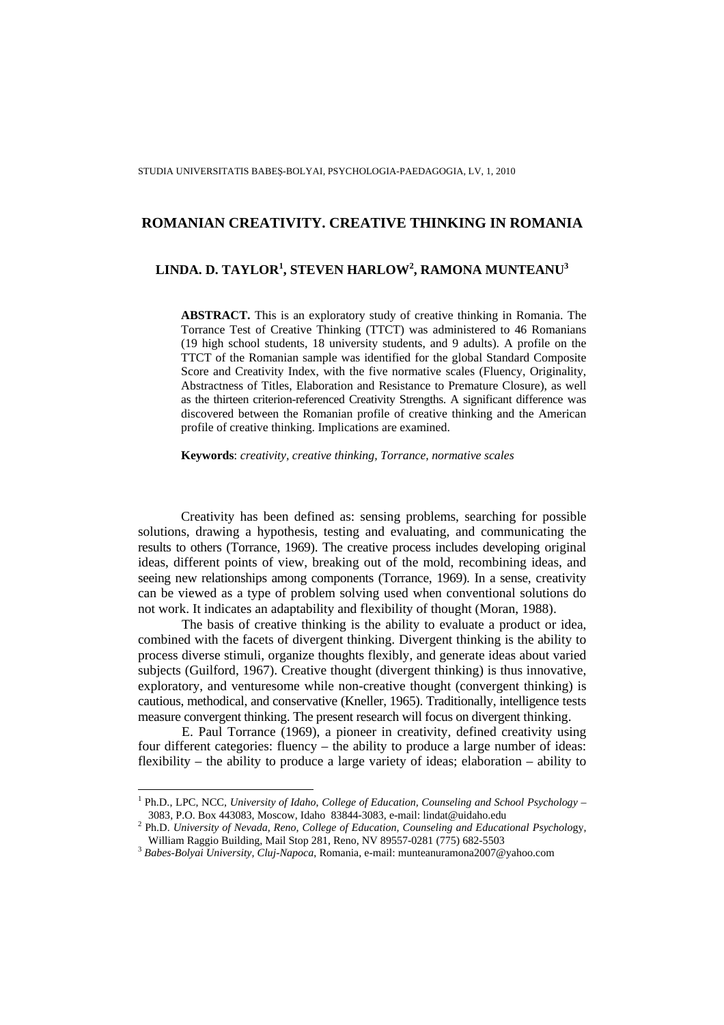# **LINDA. D. TAYLOR<sup>1</sup> , STEVEN HARLOW<sup>2</sup> , RAMONA MUNTEANU<sup>3</sup>**

**ABSTRACT.** This is an exploratory study of creative thinking in Romania. The Torrance Test of Creative Thinking (TTCT) was administered to 46 Romanians (19 high school students, 18 university students, and 9 adults). A profile on the TTCT of the Romanian sample was identified for the global Standard Composite Score and Creativity Index, with the five normative scales (Fluency, Originality, Abstractness of Titles, Elaboration and Resistance to Premature Closure), as well as the thirteen criterion-referenced Creativity Strengths. A significant difference was discovered between the Romanian profile of creative thinking and the American profile of creative thinking. Implications are examined.

**Keywords**: *creativity, creative thinking, Torrance, normative scales*

 Creativity has been defined as: sensing problems, searching for possible solutions, drawing a hypothesis, testing and evaluating, and communicating the results to others (Torrance, 1969). The creative process includes developing original ideas, different points of view, breaking out of the mold, recombining ideas, and seeing new relationships among components (Torrance, 1969). In a sense, creativity can be viewed as a type of problem solving used when conventional solutions do not work. It indicates an adaptability and flexibility of thought (Moran, 1988).

 The basis of creative thinking is the ability to evaluate a product or idea, combined with the facets of divergent thinking. Divergent thinking is the ability to process diverse stimuli, organize thoughts flexibly, and generate ideas about varied subjects (Guilford, 1967). Creative thought (divergent thinking) is thus innovative, exploratory, and venturesome while non-creative thought (convergent thinking) is cautious, methodical, and conservative (Kneller, 1965). Traditionally, intelligence tests measure convergent thinking. The present research will focus on divergent thinking.

 E. Paul Torrance (1969), a pioneer in creativity, defined creativity using four different categories: fluency – the ability to produce a large number of ideas: flexibility – the ability to produce a large variety of ideas; elaboration – ability to

 $\overline{a}$ 

<sup>&</sup>lt;sup>1</sup> Ph.D., LPC, NCC, *University of Idaho, College of Education, Counseling and School Psychology* – 3083, P.O. Box 443083, Moscow, Idaho 83844-3083, e-mail: lindat@uidaho.edu

<sup>2</sup> Ph.D. *University of Nevada, Reno, College of Education, Counseling and Educational Psycholo*gy, William Raggio Building, Mail Stop 281, Reno, NV 89557-0281 (775) 682-5503

<sup>3</sup> *Babes-Bolyai University, Cluj-Napoca*, Romania, e-mail: munteanuramona2007@yahoo.com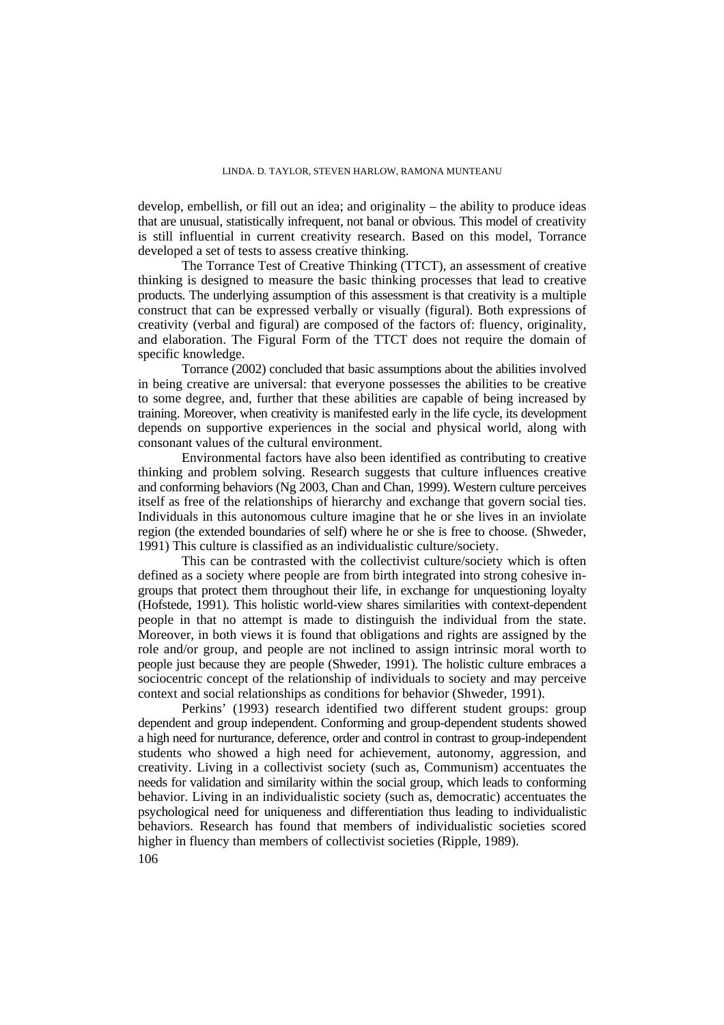develop, embellish, or fill out an idea; and originality – the ability to produce ideas that are unusual, statistically infrequent, not banal or obvious. This model of creativity is still influential in current creativity research. Based on this model, Torrance developed a set of tests to assess creative thinking.

 The Torrance Test of Creative Thinking (TTCT), an assessment of creative thinking is designed to measure the basic thinking processes that lead to creative products. The underlying assumption of this assessment is that creativity is a multiple construct that can be expressed verbally or visually (figural). Both expressions of creativity (verbal and figural) are composed of the factors of: fluency, originality, and elaboration. The Figural Form of the TTCT does not require the domain of specific knowledge.

 Torrance (2002) concluded that basic assumptions about the abilities involved in being creative are universal: that everyone possesses the abilities to be creative to some degree, and, further that these abilities are capable of being increased by training. Moreover, when creativity is manifested early in the life cycle, its development depends on supportive experiences in the social and physical world, along with consonant values of the cultural environment.

 Environmental factors have also been identified as contributing to creative thinking and problem solving. Research suggests that culture influences creative and conforming behaviors (Ng 2003, Chan and Chan, 1999). Western culture perceives itself as free of the relationships of hierarchy and exchange that govern social ties. Individuals in this autonomous culture imagine that he or she lives in an inviolate region (the extended boundaries of self) where he or she is free to choose. (Shweder, 1991) This culture is classified as an individualistic culture/society.

 This can be contrasted with the collectivist culture/society which is often defined as a society where people are from birth integrated into strong cohesive ingroups that protect them throughout their life, in exchange for unquestioning loyalty (Hofstede, 1991). This holistic world-view shares similarities with context-dependent people in that no attempt is made to distinguish the individual from the state. Moreover, in both views it is found that obligations and rights are assigned by the role and/or group, and people are not inclined to assign intrinsic moral worth to people just because they are people (Shweder, 1991). The holistic culture embraces a sociocentric concept of the relationship of individuals to society and may perceive context and social relationships as conditions for behavior (Shweder, 1991).

 Perkins' (1993) research identified two different student groups: group dependent and group independent. Conforming and group-dependent students showed a high need for nurturance, deference, order and control in contrast to group-independent students who showed a high need for achievement, autonomy, aggression, and creativity. Living in a collectivist society (such as, Communism) accentuates the needs for validation and similarity within the social group, which leads to conforming behavior. Living in an individualistic society (such as, democratic) accentuates the psychological need for uniqueness and differentiation thus leading to individualistic behaviors. Research has found that members of individualistic societies scored higher in fluency than members of collectivist societies (Ripple, 1989).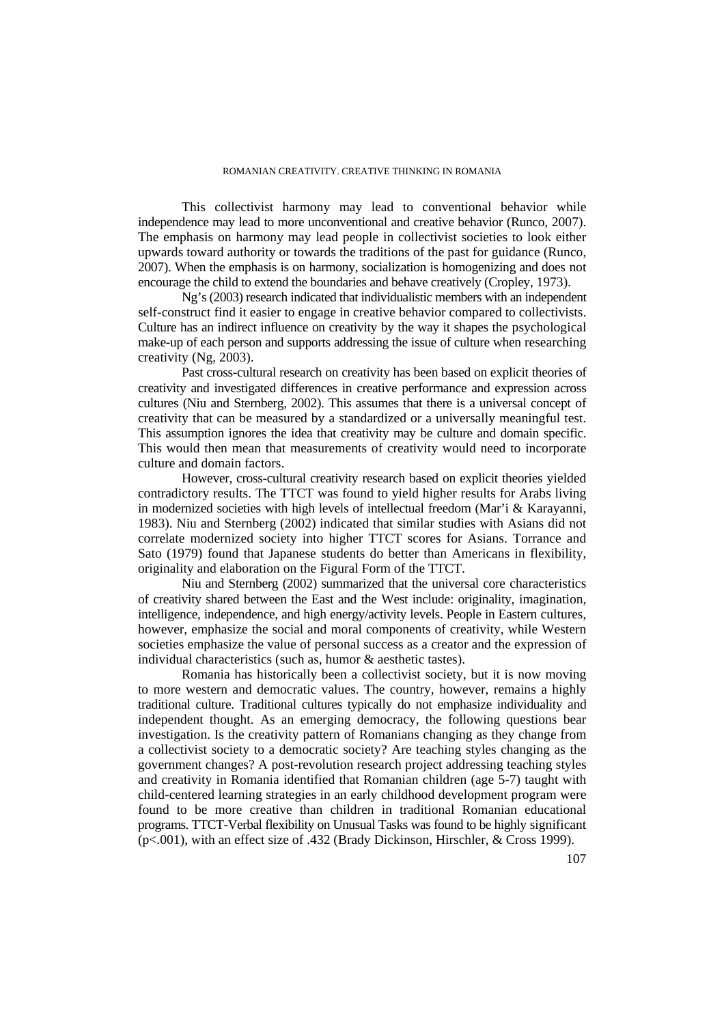This collectivist harmony may lead to conventional behavior while independence may lead to more unconventional and creative behavior (Runco, 2007). The emphasis on harmony may lead people in collectivist societies to look either upwards toward authority or towards the traditions of the past for guidance (Runco, 2007). When the emphasis is on harmony, socialization is homogenizing and does not encourage the child to extend the boundaries and behave creatively (Cropley, 1973).

 Ng's (2003) research indicated that individualistic members with an independent self-construct find it easier to engage in creative behavior compared to collectivists. Culture has an indirect influence on creativity by the way it shapes the psychological make-up of each person and supports addressing the issue of culture when researching creativity (Ng, 2003).

 Past cross-cultural research on creativity has been based on explicit theories of creativity and investigated differences in creative performance and expression across cultures (Niu and Sternberg, 2002). This assumes that there is a universal concept of creativity that can be measured by a standardized or a universally meaningful test. This assumption ignores the idea that creativity may be culture and domain specific. This would then mean that measurements of creativity would need to incorporate culture and domain factors.

 However, cross-cultural creativity research based on explicit theories yielded contradictory results. The TTCT was found to yield higher results for Arabs living in modernized societies with high levels of intellectual freedom (Mar'i & Karayanni, 1983). Niu and Sternberg (2002) indicated that similar studies with Asians did not correlate modernized society into higher TTCT scores for Asians. Torrance and Sato (1979) found that Japanese students do better than Americans in flexibility, originality and elaboration on the Figural Form of the TTCT.

 Niu and Sternberg (2002) summarized that the universal core characteristics of creativity shared between the East and the West include: originality, imagination, intelligence, independence, and high energy/activity levels. People in Eastern cultures, however, emphasize the social and moral components of creativity, while Western societies emphasize the value of personal success as a creator and the expression of individual characteristics (such as, humor & aesthetic tastes).

 Romania has historically been a collectivist society, but it is now moving to more western and democratic values. The country, however, remains a highly traditional culture. Traditional cultures typically do not emphasize individuality and independent thought. As an emerging democracy, the following questions bear investigation. Is the creativity pattern of Romanians changing as they change from a collectivist society to a democratic society? Are teaching styles changing as the government changes? A post-revolution research project addressing teaching styles and creativity in Romania identified that Romanian children (age 5-7) taught with child-centered learning strategies in an early childhood development program were found to be more creative than children in traditional Romanian educational programs. TTCT-Verbal flexibility on Unusual Tasks was found to be highly significant (p<.001), with an effect size of .432 (Brady Dickinson, Hirschler, & Cross 1999).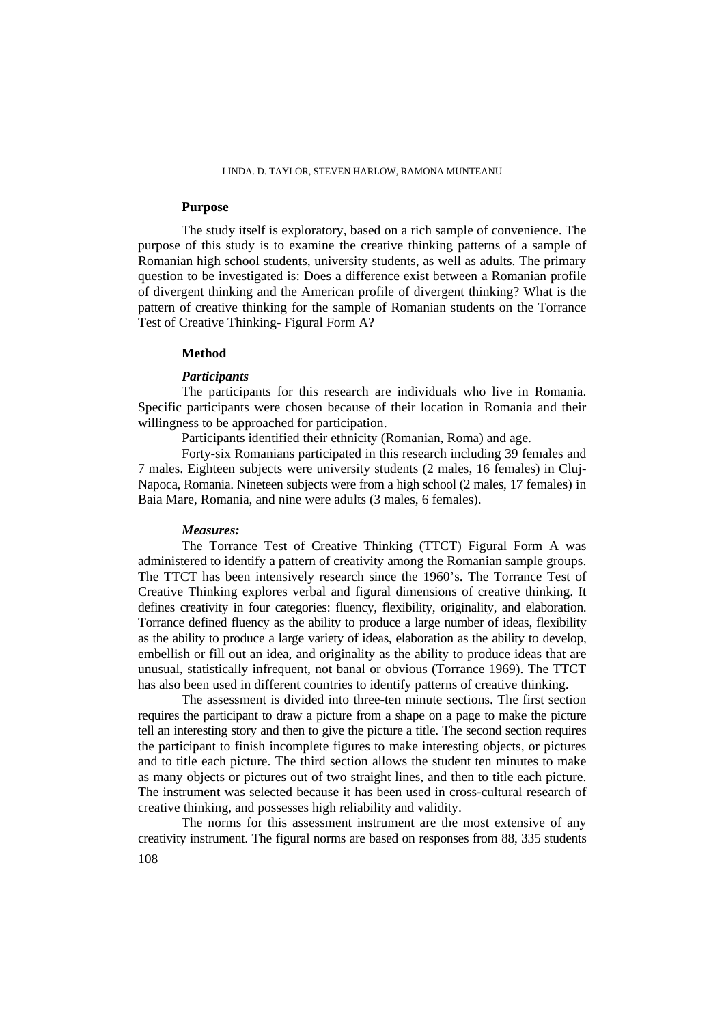## **Purpose**

 The study itself is exploratory, based on a rich sample of convenience. The purpose of this study is to examine the creative thinking patterns of a sample of Romanian high school students, university students, as well as adults. The primary question to be investigated is: Does a difference exist between a Romanian profile of divergent thinking and the American profile of divergent thinking? What is the pattern of creative thinking for the sample of Romanian students on the Torrance Test of Creative Thinking- Figural Form A?

# **Method**

## *Participants*

 The participants for this research are individuals who live in Romania. Specific participants were chosen because of their location in Romania and their willingness to be approached for participation.

Participants identified their ethnicity (Romanian, Roma) and age.

 Forty-six Romanians participated in this research including 39 females and 7 males. Eighteen subjects were university students (2 males, 16 females) in Cluj-Napoca, Romania. Nineteen subjects were from a high school (2 males, 17 females) in Baia Mare, Romania, and nine were adults (3 males, 6 females).

### *Measures:*

 The Torrance Test of Creative Thinking (TTCT) Figural Form A was administered to identify a pattern of creativity among the Romanian sample groups. The TTCT has been intensively research since the 1960's. The Torrance Test of Creative Thinking explores verbal and figural dimensions of creative thinking. It defines creativity in four categories: fluency, flexibility, originality, and elaboration. Torrance defined fluency as the ability to produce a large number of ideas, flexibility as the ability to produce a large variety of ideas, elaboration as the ability to develop, embellish or fill out an idea, and originality as the ability to produce ideas that are unusual, statistically infrequent, not banal or obvious (Torrance 1969). The TTCT has also been used in different countries to identify patterns of creative thinking.

 The assessment is divided into three-ten minute sections. The first section requires the participant to draw a picture from a shape on a page to make the picture tell an interesting story and then to give the picture a title. The second section requires the participant to finish incomplete figures to make interesting objects, or pictures and to title each picture. The third section allows the student ten minutes to make as many objects or pictures out of two straight lines, and then to title each picture. The instrument was selected because it has been used in cross-cultural research of creative thinking, and possesses high reliability and validity.

 The norms for this assessment instrument are the most extensive of any creativity instrument. The figural norms are based on responses from 88, 335 students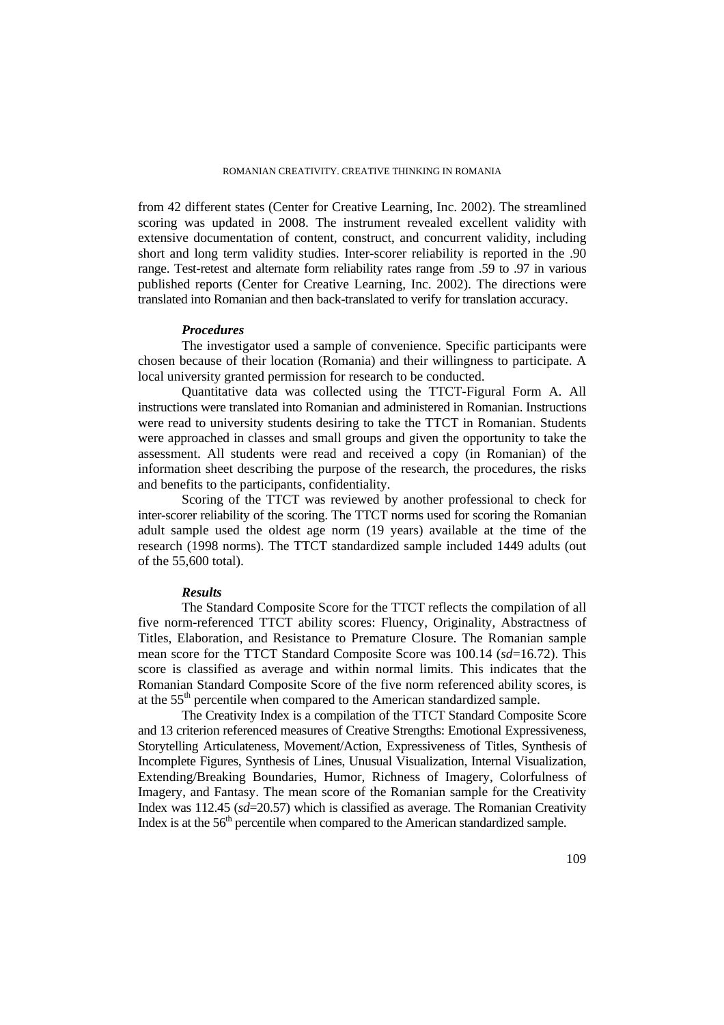from 42 different states (Center for Creative Learning, Inc. 2002). The streamlined scoring was updated in 2008. The instrument revealed excellent validity with extensive documentation of content, construct, and concurrent validity, including short and long term validity studies. Inter-scorer reliability is reported in the .90 range. Test-retest and alternate form reliability rates range from .59 to .97 in various published reports (Center for Creative Learning, Inc. 2002). The directions were translated into Romanian and then back-translated to verify for translation accuracy.

## *Procedures*

 The investigator used a sample of convenience. Specific participants were chosen because of their location (Romania) and their willingness to participate. A local university granted permission for research to be conducted.

 Quantitative data was collected using the TTCT-Figural Form A. All instructions were translated into Romanian and administered in Romanian. Instructions were read to university students desiring to take the TTCT in Romanian. Students were approached in classes and small groups and given the opportunity to take the assessment. All students were read and received a copy (in Romanian) of the information sheet describing the purpose of the research, the procedures, the risks and benefits to the participants, confidentiality.

 Scoring of the TTCT was reviewed by another professional to check for inter-scorer reliability of the scoring. The TTCT norms used for scoring the Romanian adult sample used the oldest age norm (19 years) available at the time of the research (1998 norms). The TTCT standardized sample included 1449 adults (out of the 55,600 total).

### *Results*

 The Standard Composite Score for the TTCT reflects the compilation of all five norm-referenced TTCT ability scores: Fluency, Originality, Abstractness of Titles, Elaboration, and Resistance to Premature Closure. The Romanian sample mean score for the TTCT Standard Composite Score was 100.14 (*sd*=16.72). This score is classified as average and within normal limits. This indicates that the Romanian Standard Composite Score of the five norm referenced ability scores, is at the 55th percentile when compared to the American standardized sample.

 The Creativity Index is a compilation of the TTCT Standard Composite Score and 13 criterion referenced measures of Creative Strengths: Emotional Expressiveness, Storytelling Articulateness, Movement/Action, Expressiveness of Titles, Synthesis of Incomplete Figures, Synthesis of Lines, Unusual Visualization, Internal Visualization, Extending/Breaking Boundaries, Humor, Richness of Imagery, Colorfulness of Imagery, and Fantasy. The mean score of the Romanian sample for the Creativity Index was 112.45 (*sd*=20.57) which is classified as average. The Romanian Creativity Index is at the 56<sup>th</sup> percentile when compared to the American standardized sample.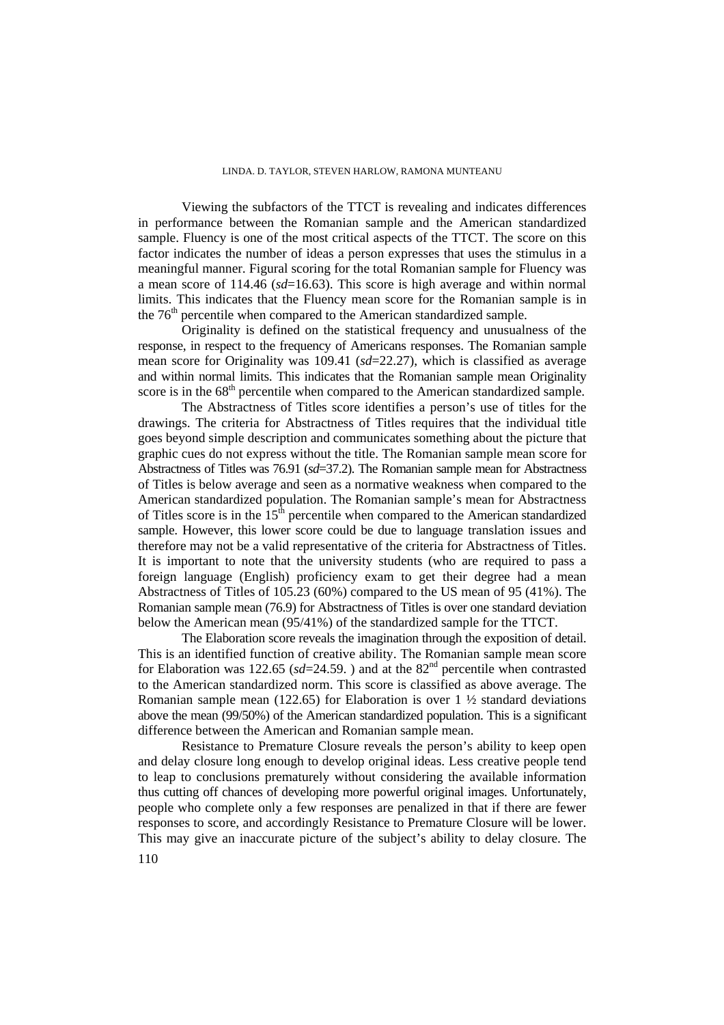Viewing the subfactors of the TTCT is revealing and indicates differences in performance between the Romanian sample and the American standardized sample. Fluency is one of the most critical aspects of the TTCT. The score on this factor indicates the number of ideas a person expresses that uses the stimulus in a meaningful manner. Figural scoring for the total Romanian sample for Fluency was a mean score of 114.46 (*sd*=16.63). This score is high average and within normal limits. This indicates that the Fluency mean score for the Romanian sample is in the  $76<sup>th</sup>$  percentile when compared to the American standardized sample.

 Originality is defined on the statistical frequency and unusualness of the response, in respect to the frequency of Americans responses. The Romanian sample mean score for Originality was 109.41 (*sd*=22.27), which is classified as average and within normal limits. This indicates that the Romanian sample mean Originality score is in the 68<sup>th</sup> percentile when compared to the American standardized sample.

 The Abstractness of Titles score identifies a person's use of titles for the drawings. The criteria for Abstractness of Titles requires that the individual title goes beyond simple description and communicates something about the picture that graphic cues do not express without the title. The Romanian sample mean score for Abstractness of Titles was 76.91 (*sd*=37.2). The Romanian sample mean for Abstractness of Titles is below average and seen as a normative weakness when compared to the American standardized population. The Romanian sample's mean for Abstractness of Titles score is in the  $15<sup>th</sup>$  percentile when compared to the American standardized sample. However, this lower score could be due to language translation issues and therefore may not be a valid representative of the criteria for Abstractness of Titles. It is important to note that the university students (who are required to pass a foreign language (English) proficiency exam to get their degree had a mean Abstractness of Titles of 105.23 (60%) compared to the US mean of 95 (41%). The Romanian sample mean (76.9) for Abstractness of Titles is over one standard deviation below the American mean (95/41%) of the standardized sample for the TTCT.

 The Elaboration score reveals the imagination through the exposition of detail. This is an identified function of creative ability. The Romanian sample mean score for Elaboration was 122.65 ( $sd=24.59$ .) and at the 82<sup>nd</sup> percentile when contrasted to the American standardized norm. This score is classified as above average. The Romanian sample mean (122.65) for Elaboration is over  $1 \frac{1}{2}$  standard deviations above the mean (99/50%) of the American standardized population. This is a significant difference between the American and Romanian sample mean.

 Resistance to Premature Closure reveals the person's ability to keep open and delay closure long enough to develop original ideas. Less creative people tend to leap to conclusions prematurely without considering the available information thus cutting off chances of developing more powerful original images. Unfortunately, people who complete only a few responses are penalized in that if there are fewer responses to score, and accordingly Resistance to Premature Closure will be lower. This may give an inaccurate picture of the subject's ability to delay closure. The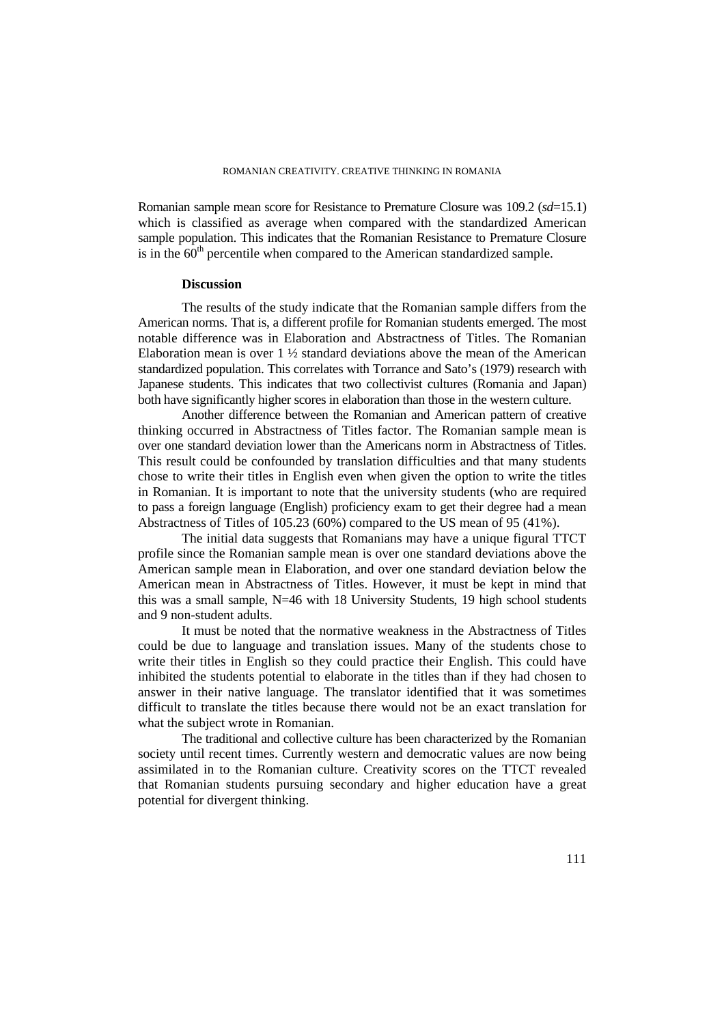Romanian sample mean score for Resistance to Premature Closure was 109.2 (*sd*=15.1) which is classified as average when compared with the standardized American sample population. This indicates that the Romanian Resistance to Premature Closure is in the  $60<sup>th</sup>$  percentile when compared to the American standardized sample.

#### **Discussion**

 The results of the study indicate that the Romanian sample differs from the American norms. That is, a different profile for Romanian students emerged. The most notable difference was in Elaboration and Abstractness of Titles. The Romanian Elaboration mean is over  $1\frac{1}{2}$  standard deviations above the mean of the American standardized population. This correlates with Torrance and Sato's (1979) research with Japanese students. This indicates that two collectivist cultures (Romania and Japan) both have significantly higher scores in elaboration than those in the western culture.

 Another difference between the Romanian and American pattern of creative thinking occurred in Abstractness of Titles factor. The Romanian sample mean is over one standard deviation lower than the Americans norm in Abstractness of Titles. This result could be confounded by translation difficulties and that many students chose to write their titles in English even when given the option to write the titles in Romanian. It is important to note that the university students (who are required to pass a foreign language (English) proficiency exam to get their degree had a mean Abstractness of Titles of 105.23 (60%) compared to the US mean of 95 (41%).

 The initial data suggests that Romanians may have a unique figural TTCT profile since the Romanian sample mean is over one standard deviations above the American sample mean in Elaboration, and over one standard deviation below the American mean in Abstractness of Titles. However, it must be kept in mind that this was a small sample, N=46 with 18 University Students, 19 high school students and 9 non-student adults.

 It must be noted that the normative weakness in the Abstractness of Titles could be due to language and translation issues. Many of the students chose to write their titles in English so they could practice their English. This could have inhibited the students potential to elaborate in the titles than if they had chosen to answer in their native language. The translator identified that it was sometimes difficult to translate the titles because there would not be an exact translation for what the subject wrote in Romanian.

The traditional and collective culture has been characterized by the Romanian society until recent times. Currently western and democratic values are now being assimilated in to the Romanian culture. Creativity scores on the TTCT revealed that Romanian students pursuing secondary and higher education have a great potential for divergent thinking.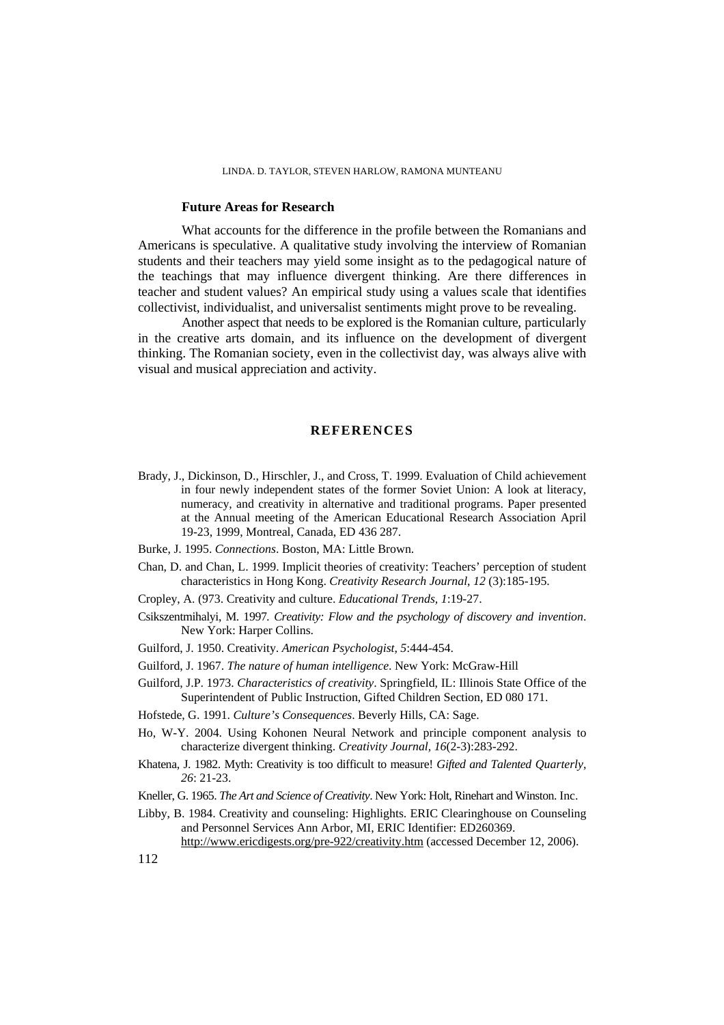# **Future Areas for Research**

What accounts for the difference in the profile between the Romanians and Americans is speculative. A qualitative study involving the interview of Romanian students and their teachers may yield some insight as to the pedagogical nature of the teachings that may influence divergent thinking. Are there differences in teacher and student values? An empirical study using a values scale that identifies collectivist, individualist, and universalist sentiments might prove to be revealing.

Another aspect that needs to be explored is the Romanian culture, particularly in the creative arts domain, and its influence on the development of divergent thinking. The Romanian society, even in the collectivist day, was always alive with visual and musical appreciation and activity.

#### **REFERENCES**

- Brady, J., Dickinson, D., Hirschler, J., and Cross, T. 1999. Evaluation of Child achievement in four newly independent states of the former Soviet Union: A look at literacy, numeracy, and creativity in alternative and traditional programs. Paper presented at the Annual meeting of the American Educational Research Association April 19-23, 1999, Montreal, Canada, ED 436 287.
- Burke, J. 1995. *Connections*. Boston, MA: Little Brown.
- Chan, D. and Chan, L. 1999. Implicit theories of creativity: Teachers' perception of student characteristics in Hong Kong. *Creativity Research Journal*, *12* (3):185-195.
- Cropley, A. (973. Creativity and culture. *Educational Trends, 1*:19-27.
- Csikszentmihalyi, M. 1997*. Creativity: Flow and the psychology of discovery and invention*. New York: Harper Collins.
- Guilford, J. 1950. Creativity. *American Psychologist*, *5*:444-454.
- Guilford, J. 1967. *The nature of human intelligence*. New York: McGraw-Hill
- Guilford, J.P. 1973. *Characteristics of creativity*. Springfield, IL: Illinois State Office of the Superintendent of Public Instruction, Gifted Children Section, ED 080 171.
- Hofstede, G. 1991. *Culture's Consequences*. Beverly Hills, CA: Sage.
- Ho, W-Y. 2004. Using Kohonen Neural Network and principle component analysis to characterize divergent thinking. *Creativity Journal, 16*(2-3):283-292.
- Khatena, J. 1982. Myth: Creativity is too difficult to measure! *Gifted and Talented Quarterly, 26*: 21-23.
- Kneller, G. 1965. *The Art and Science of Creativity*. New York: Holt, Rinehart and Winston. Inc.
- Libby, B. 1984. Creativity and counseling: Highlights. ERIC Clearinghouse on Counseling and Personnel Services Ann Arbor, MI, ERIC Identifier: ED260369. http://www.ericdigests.org/pre-922/creativity.htm (accessed December 12, 2006).